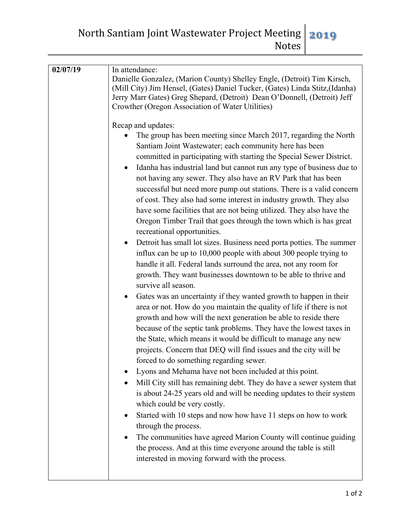North Santiam Joint Wastewater Project Meeting Notes **2019**

| 02/07/19 | In attendance:                                                                                                                                                                                                                                                                                                                                                                                                                                                                                                                                                                                                                                                                                                                                                                                                                                                                                                                                                                                                                                                                                                                                                                                                                                                                                                                                                                                                                                                                                                                                                                                                                                                                                                                                                                                                                                                                                                                                                                                                                                                                               |
|----------|----------------------------------------------------------------------------------------------------------------------------------------------------------------------------------------------------------------------------------------------------------------------------------------------------------------------------------------------------------------------------------------------------------------------------------------------------------------------------------------------------------------------------------------------------------------------------------------------------------------------------------------------------------------------------------------------------------------------------------------------------------------------------------------------------------------------------------------------------------------------------------------------------------------------------------------------------------------------------------------------------------------------------------------------------------------------------------------------------------------------------------------------------------------------------------------------------------------------------------------------------------------------------------------------------------------------------------------------------------------------------------------------------------------------------------------------------------------------------------------------------------------------------------------------------------------------------------------------------------------------------------------------------------------------------------------------------------------------------------------------------------------------------------------------------------------------------------------------------------------------------------------------------------------------------------------------------------------------------------------------------------------------------------------------------------------------------------------------|
|          | Danielle Gonzalez, (Marion County) Shelley Engle, (Detroit) Tim Kirsch,<br>(Mill City) Jim Hensel, (Gates) Daniel Tucker, (Gates) Linda Stitz, (Idanha)<br>Jerry Marr Gates) Greg Shepard, (Detroit) Dean O'Donnell, (Detroit) Jeff                                                                                                                                                                                                                                                                                                                                                                                                                                                                                                                                                                                                                                                                                                                                                                                                                                                                                                                                                                                                                                                                                                                                                                                                                                                                                                                                                                                                                                                                                                                                                                                                                                                                                                                                                                                                                                                          |
|          | Crowther (Oregon Association of Water Utilities)<br>Recap and updates:<br>The group has been meeting since March 2017, regarding the North<br>Santiam Joint Wastewater; each community here has been<br>committed in participating with starting the Special Sewer District.<br>Idanha has industrial land but cannot run any type of business due to<br>$\bullet$<br>not having any sewer. They also have an RV Park that has been<br>successful but need more pump out stations. There is a valid concern<br>of cost. They also had some interest in industry growth. They also<br>have some facilities that are not being utilized. They also have the<br>Oregon Timber Trail that goes through the town which is has great<br>recreational opportunities.<br>Detroit has small lot sizes. Business need porta potties. The summer<br>$\bullet$<br>influx can be up to 10,000 people with about 300 people trying to<br>handle it all. Federal lands surround the area, not any room for<br>growth. They want businesses downtown to be able to thrive and<br>survive all season.<br>Gates was an uncertainty if they wanted growth to happen in their<br>٠<br>area or not. How do you maintain the quality of life if there is not<br>growth and how will the next generation be able to reside there<br>because of the septic tank problems. They have the lowest taxes in<br>the State, which means it would be difficult to manage any new<br>projects. Concern that DEQ will find issues and the city will be<br>forced to do something regarding sewer.<br>Lyons and Mehama have not been included at this point.<br>Mill City still has remaining debt. They do have a sewer system that<br>is about 24-25 years old and will be needing updates to their system<br>which could be very costly.<br>Started with 10 steps and now how have 11 steps on how to work<br>through the process.<br>The communities have agreed Marion County will continue guiding<br>the process. And at this time everyone around the table is still<br>interested in moving forward with the process. |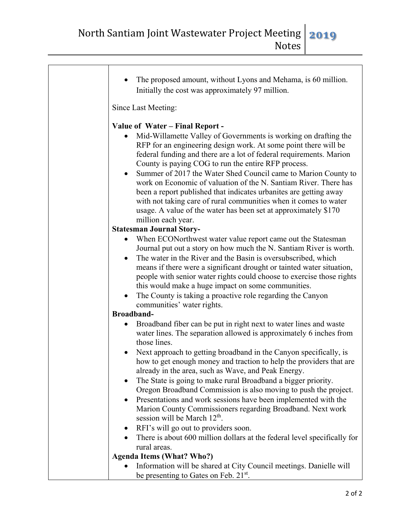| The proposed amount, without Lyons and Mehama, is 60 million.<br>Initially the cost was approximately 97 million.                                                                                                                                                                                                                                                                                                                                                                                                                                                                                                                                                                        |
|------------------------------------------------------------------------------------------------------------------------------------------------------------------------------------------------------------------------------------------------------------------------------------------------------------------------------------------------------------------------------------------------------------------------------------------------------------------------------------------------------------------------------------------------------------------------------------------------------------------------------------------------------------------------------------------|
| Since Last Meeting:                                                                                                                                                                                                                                                                                                                                                                                                                                                                                                                                                                                                                                                                      |
| Value of Water - Final Report -<br>Mid-Willamette Valley of Governments is working on drafting the<br>RFP for an engineering design work. At some point there will be<br>federal funding and there are a lot of federal requirements. Marion<br>County is paying COG to run the entire RFP process.<br>Summer of 2017 the Water Shed Council came to Marion County to<br>$\bullet$<br>work on Economic of valuation of the N. Santiam River. There has<br>been a report published that indicates urbanites are getting away<br>with not taking care of rural communities when it comes to water<br>usage. A value of the water has been set at approximately \$170<br>million each year. |
| <b>Statesman Journal Story-</b>                                                                                                                                                                                                                                                                                                                                                                                                                                                                                                                                                                                                                                                          |
| When ECON orthwest water value report came out the Statesman<br>٠<br>Journal put out a story on how much the N. Santiam River is worth.<br>The water in the River and the Basin is oversubscribed, which<br>$\bullet$<br>means if there were a significant drought or tainted water situation,<br>people with senior water rights could choose to exercise those rights<br>this would make a huge impact on some communities.<br>The County is taking a proactive role regarding the Canyon<br>$\bullet$<br>communities' water rights.                                                                                                                                                   |
| <b>Broadband-</b>                                                                                                                                                                                                                                                                                                                                                                                                                                                                                                                                                                                                                                                                        |
| Broadband fiber can be put in right next to water lines and waste<br>$\bullet$<br>water lines. The separation allowed is approximately 6 inches from<br>those lines.                                                                                                                                                                                                                                                                                                                                                                                                                                                                                                                     |
| Next approach to getting broadband in the Canyon specifically, is<br>how to get enough money and traction to help the providers that are<br>already in the area, such as Wave, and Peak Energy.                                                                                                                                                                                                                                                                                                                                                                                                                                                                                          |
| The State is going to make rural Broadband a bigger priority.<br>Oregon Broadband Commission is also moving to push the project.                                                                                                                                                                                                                                                                                                                                                                                                                                                                                                                                                         |
| Presentations and work sessions have been implemented with the<br>٠<br>Marion County Commissioners regarding Broadband. Next work<br>session will be March 12 <sup>th</sup> .                                                                                                                                                                                                                                                                                                                                                                                                                                                                                                            |
| RFI's will go out to providers soon.<br>$\bullet$                                                                                                                                                                                                                                                                                                                                                                                                                                                                                                                                                                                                                                        |
| There is about 600 million dollars at the federal level specifically for<br>rural areas.                                                                                                                                                                                                                                                                                                                                                                                                                                                                                                                                                                                                 |
| <b>Agenda Items (What? Who?)</b>                                                                                                                                                                                                                                                                                                                                                                                                                                                                                                                                                                                                                                                         |
| Information will be shared at City Council meetings. Danielle will                                                                                                                                                                                                                                                                                                                                                                                                                                                                                                                                                                                                                       |
| be presenting to Gates on Feb. 21 <sup>st</sup> .                                                                                                                                                                                                                                                                                                                                                                                                                                                                                                                                                                                                                                        |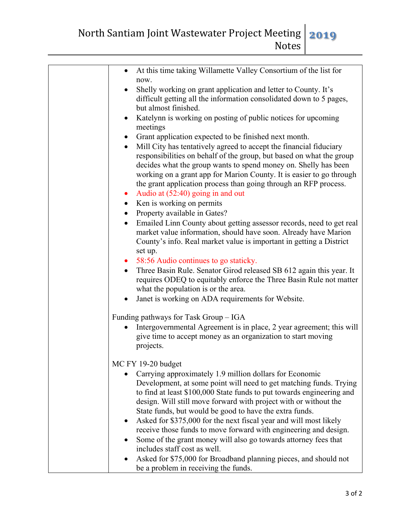North Santiam Joint Wastewater Project Meeting Notes **2019**

| At this time taking Willamette Valley Consortium of the list for                                                                                                                                                                                                                                                                                                                                                                                                                                                                                                    |
|---------------------------------------------------------------------------------------------------------------------------------------------------------------------------------------------------------------------------------------------------------------------------------------------------------------------------------------------------------------------------------------------------------------------------------------------------------------------------------------------------------------------------------------------------------------------|
| now.<br>Shelly working on grant application and letter to County. It's<br>difficult getting all the information consolidated down to 5 pages,<br>but almost finished.                                                                                                                                                                                                                                                                                                                                                                                               |
| Katelynn is working on posting of public notices for upcoming<br>meetings                                                                                                                                                                                                                                                                                                                                                                                                                                                                                           |
| Grant application expected to be finished next month.                                                                                                                                                                                                                                                                                                                                                                                                                                                                                                               |
| Mill City has tentatively agreed to accept the financial fiduciary<br>$\bullet$<br>responsibilities on behalf of the group, but based on what the group<br>decides what the group wants to spend money on. Shelly has been<br>working on a grant app for Marion County. It is easier to go through<br>the grant application process than going through an RFP process.<br>Audio at (52:40) going in and out<br>$\bullet$<br>Ken is working on permits                                                                                                               |
| Property available in Gates?                                                                                                                                                                                                                                                                                                                                                                                                                                                                                                                                        |
| Emailed Linn County about getting assessor records, need to get real<br>$\bullet$<br>market value information, should have soon. Already have Marion<br>County's info. Real market value is important in getting a District                                                                                                                                                                                                                                                                                                                                         |
| set up.                                                                                                                                                                                                                                                                                                                                                                                                                                                                                                                                                             |
| 58:56 Audio continues to go staticky.<br>$\bullet$<br>Three Basin Rule. Senator Girod released SB 612 again this year. It<br>$\bullet$<br>requires ODEQ to equitably enforce the Three Basin Rule not matter<br>what the population is or the area.                                                                                                                                                                                                                                                                                                                 |
| Janet is working on ADA requirements for Website.                                                                                                                                                                                                                                                                                                                                                                                                                                                                                                                   |
| Funding pathways for Task Group - IGA                                                                                                                                                                                                                                                                                                                                                                                                                                                                                                                               |
| Intergovernmental Agreement is in place, 2 year agreement; this will<br>give time to accept money as an organization to start moving<br>projects.                                                                                                                                                                                                                                                                                                                                                                                                                   |
| MC FY 19-20 budget                                                                                                                                                                                                                                                                                                                                                                                                                                                                                                                                                  |
| Carrying approximately 1.9 million dollars for Economic<br>Development, at some point will need to get matching funds. Trying<br>to find at least \$100,000 State funds to put towards engineering and<br>design. Will still move forward with project with or without the<br>State funds, but would be good to have the extra funds.<br>Asked for \$375,000 for the next fiscal year and will most likely<br>$\bullet$<br>receive those funds to move forward with engineering and design.<br>Some of the grant money will also go towards attorney fees that<br>٠ |
| includes staff cost as well.<br>Asked for \$75,000 for Broadband planning pieces, and should not<br>٠<br>be a problem in receiving the funds.                                                                                                                                                                                                                                                                                                                                                                                                                       |